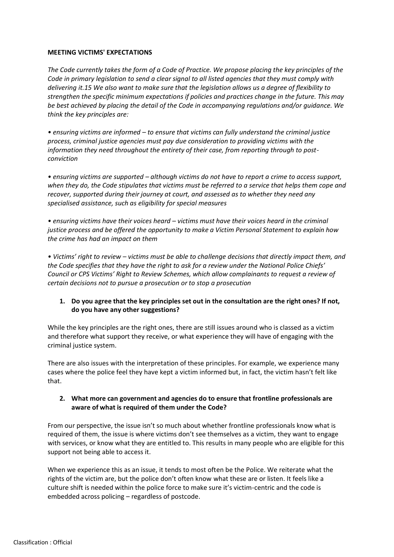#### **MEETING VICTIMS' EXPECTATIONS**

*The Code currently takes the form of a Code of Practice. We propose placing the key principles of the Code in primary legislation to send a clear signal to all listed agencies that they must comply with delivering it.15 We also want to make sure that the legislation allows us a degree of flexibility to strengthen the specific minimum expectations if policies and practices change in the future. This may be best achieved by placing the detail of the Code in accompanying regulations and/or guidance. We think the key principles are:*

*• ensuring victims are informed – to ensure that victims can fully understand the criminal justice process, criminal justice agencies must pay due consideration to providing victims with the information they need throughout the entirety of their case, from reporting through to postconviction* 

*• ensuring victims are supported – although victims do not have to report a crime to access support, when they do, the Code stipulates that victims must be referred to a service that helps them cope and recover, supported during their journey at court, and assessed as to whether they need any specialised assistance, such as eligibility for special measures* 

*• ensuring victims have their voices heard – victims must have their voices heard in the criminal justice process and be offered the opportunity to make a Victim Personal Statement to explain how the crime has had an impact on them* 

*• Victims' right to review – victims must be able to challenge decisions that directly impact them, and the Code specifies that they have the right to ask for a review under the National Police Chiefs' Council or CPS Victims' Right to Review Schemes, which allow complainants to request a review of certain decisions not to pursue a prosecution or to stop a prosecution*

### **1. Do you agree that the key principles set out in the consultation are the right ones? If not, do you have any other suggestions?**

While the key principles are the right ones, there are still issues around who is classed as a victim and therefore what support they receive, or what experience they will have of engaging with the criminal justice system.

There are also issues with the interpretation of these principles. For example, we experience many cases where the police feel they have kept a victim informed but, in fact, the victim hasn't felt like that.

### **2. What more can government and agencies do to ensure that frontline professionals are aware of what is required of them under the Code?**

From our perspective, the issue isn't so much about whether frontline professionals know what is required of them, the issue is where victims don't see themselves as a victim, they want to engage with services, or know what they are entitled to. This results in many people who are eligible for this support not being able to access it.

When we experience this as an issue, it tends to most often be the Police. We reiterate what the rights of the victim are, but the police don't often know what these are or listen. It feels like a culture shift is needed within the police force to make sure it's victim-centric and the code is embedded across policing – regardless of postcode.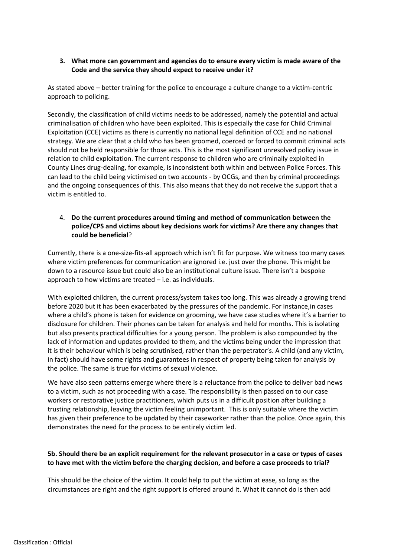### **3. What more can government and agencies do to ensure every victim is made aware of the Code and the service they should expect to receive under it?**

As stated above – better training for the police to encourage a culture change to a victim-centric approach to policing.

Secondly, the classification of child victims needs to be addressed, namely the potential and actual criminalisation of children who have been exploited. This is especially the case for Child Criminal Exploitation (CCE) victims as there is currently no national legal definition of CCE and no national strategy. We are clear that a child who has been groomed, coerced or forced to commit criminal acts should not be held responsible for those acts. This is the most significant unresolved policy issue in relation to child exploitation. The current response to children who are criminally exploited in County Lines drug-dealing, for example, is inconsistent both within and between Police Forces. This can lead to the child being victimised on two accounts - by OCGs, and then by criminal proceedings and the ongoing consequences of this. This also means that they do not receive the support that a victim is entitled to.

## 4. **Do the current procedures around timing and method of communication between the police/CPS and victims about key decisions work for victims? Are there any changes that could be beneficial**?

Currently, there is a one-size-fits-all approach which isn't fit for purpose. We witness too many cases where victim preferences for communication are ignored i.e. just over the phone. This might be down to a resource issue but could also be an institutional culture issue. There isn't a bespoke approach to how victims are treated – i.e. as individuals.

With exploited children, the current process/system takes too long. This was already a growing trend before 2020 but it has been exacerbated by the pressures of the pandemic. For instance,in cases where a child's phone is taken for evidence on grooming, we have case studies where it's a barrier to disclosure for children. Their phones can be taken for analysis and held for months. This is isolating but also presents practical difficulties for a young person. The problem is also compounded by the lack of information and updates provided to them, and the victims being under the impression that it is their behaviour which is being scrutinised, rather than the perpetrator's. A child (and any victim, in fact) should have some rights and guarantees in respect of property being taken for analysis by the police. The same is true for victims of sexual violence.

We have also seen patterns emerge where there is a reluctance from the police to deliver bad news to a victim, such as not proceeding with a case. The responsibility is then passed on to our case workers or restorative justice practitioners, which puts us in a difficult position after building a trusting relationship, leaving the victim feeling unimportant. This is only suitable where the victim has given their preference to be updated by their caseworker rather than the police. Once again, this demonstrates the need for the process to be entirely victim led.

# **5b. Should there be an explicit requirement for the relevant prosecutor in a case or types of cases to have met with the victim before the charging decision, and before a case proceeds to trial?**

This should be the choice of the victim. It could help to put the victim at ease, so long as the circumstances are right and the right support is offered around it. What it cannot do is then add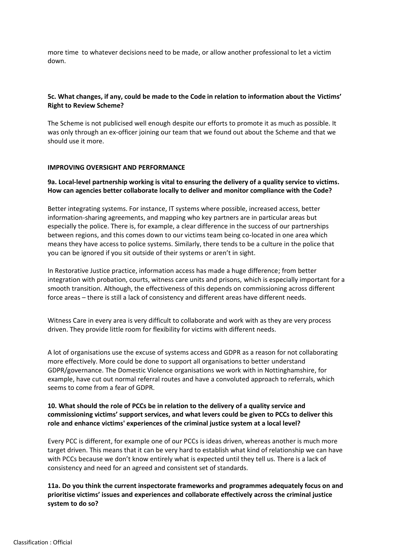more time to whatever decisions need to be made, or allow another professional to let a victim down.

### **5c. What changes, if any, could be made to the Code in relation to information about the Victims' Right to Review Scheme?**

The Scheme is not publicised well enough despite our efforts to promote it as much as possible. It was only through an ex-officer joining our team that we found out about the Scheme and that we should use it more.

#### **IMPROVING OVERSIGHT AND PERFORMANCE**

#### **9a. Local-level partnership working is vital to ensuring the delivery of a quality service to victims. How can agencies better collaborate locally to deliver and monitor compliance with the Code?**

Better integrating systems. For instance, IT systems where possible, increased access, better information-sharing agreements, and mapping who key partners are in particular areas but especially the police. There is, for example, a clear difference in the success of our partnerships between regions, and this comes down to our victims team being co-located in one area which means they have access to police systems. Similarly, there tends to be a culture in the police that you can be ignored if you sit outside of their systems or aren't in sight.

In Restorative Justice practice, information access has made a huge difference; from better integration with probation, courts, witness care units and prisons, which is especially important for a smooth transition. Although, the effectiveness of this depends on commissioning across different force areas – there is still a lack of consistency and different areas have different needs.

Witness Care in every area is very difficult to collaborate and work with as they are very process driven. They provide little room for flexibility for victims with different needs.

A lot of organisations use the excuse of systems access and GDPR as a reason for not collaborating more effectively. More could be done to support all organisations to better understand GDPR/governance. The Domestic Violence organisations we work with in Nottinghamshire, for example, have cut out normal referral routes and have a convoluted approach to referrals, which seems to come from a fear of GDPR.

### **10. What should the role of PCCs be in relation to the delivery of a quality service and commissioning victims' support services, and what levers could be given to PCCs to deliver this role and enhance victims' experiences of the criminal justice system at a local level?**

Every PCC is different, for example one of our PCCs is ideas driven, whereas another is much more target driven. This means that it can be very hard to establish what kind of relationship we can have with PCCs because we don't know entirely what is expected until they tell us. There is a lack of consistency and need for an agreed and consistent set of standards.

**11a. Do you think the current inspectorate frameworks and programmes adequately focus on and prioritise victims' issues and experiences and collaborate effectively across the criminal justice system to do so?**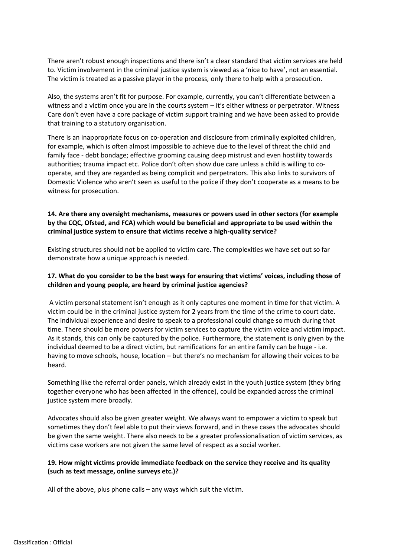There aren't robust enough inspections and there isn't a clear standard that victim services are held to. Victim involvement in the criminal justice system is viewed as a 'nice to have', not an essential. The victim is treated as a passive player in the process, only there to help with a prosecution.

Also, the systems aren't fit for purpose. For example, currently, you can't differentiate between a witness and a victim once you are in the courts system – it's either witness or perpetrator. Witness Care don't even have a core package of victim support training and we have been asked to provide that training to a statutory organisation.

There is an inappropriate focus on co-operation and disclosure from criminally exploited children, for example, which is often almost impossible to achieve due to the level of threat the child and family face - debt bondage; effective grooming causing deep mistrust and even hostility towards authorities; trauma impact etc. Police don't often show due care unless a child is willing to cooperate, and they are regarded as being complicit and perpetrators. This also links to survivors of Domestic Violence who aren't seen as useful to the police if they don't cooperate as a means to be witness for prosecution.

# **14. Are there any oversight mechanisms, measures or powers used in other sectors (for example by the CQC, Ofsted, and FCA) which would be beneficial and appropriate to be used within the criminal justice system to ensure that victims receive a high-quality service?**

Existing structures should not be applied to victim care. The complexities we have set out so far demonstrate how a unique approach is needed.

# **17. What do you consider to be the best ways for ensuring that victims' voices, including those of children and young people, are heard by criminal justice agencies?**

A victim personal statement isn't enough as it only captures one moment in time for that victim. A victim could be in the criminal justice system for 2 years from the time of the crime to court date. The individual experience and desire to speak to a professional could change so much during that time. There should be more powers for victim services to capture the victim voice and victim impact. As it stands, this can only be captured by the police. Furthermore, the statement is only given by the individual deemed to be a direct victim, but ramifications for an entire family can be huge - i.e. having to move schools, house, location – but there's no mechanism for allowing their voices to be heard.

Something like the referral order panels, which already exist in the youth justice system (they bring together everyone who has been affected in the offence), could be expanded across the criminal justice system more broadly.

Advocates should also be given greater weight. We always want to empower a victim to speak but sometimes they don't feel able to put their views forward, and in these cases the advocates should be given the same weight. There also needs to be a greater professionalisation of victim services, as victims case workers are not given the same level of respect as a social worker.

# **19. How might victims provide immediate feedback on the service they receive and its quality (such as text message, online surveys etc.)?**

All of the above, plus phone calls – any ways which suit the victim.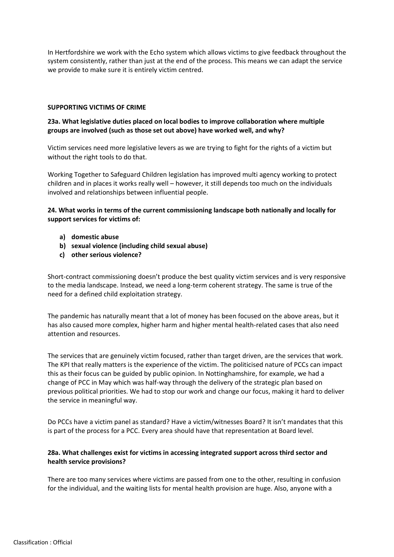In Hertfordshire we work with the Echo system which allows victims to give feedback throughout the system consistently, rather than just at the end of the process. This means we can adapt the service we provide to make sure it is entirely victim centred.

#### **SUPPORTING VICTIMS OF CRIME**

# **23a. What legislative duties placed on local bodies to improve collaboration where multiple groups are involved (such as those set out above) have worked well, and why?**

Victim services need more legislative levers as we are trying to fight for the rights of a victim but without the right tools to do that.

Working Together to Safeguard Children legislation has improved multi agency working to protect children and in places it works really well – however, it still depends too much on the individuals involved and relationships between influential people.

# **24. What works in terms of the current commissioning landscape both nationally and locally for support services for victims of:**

- **a) domestic abuse**
- **b) sexual violence (including child sexual abuse)**
- **c) other serious violence?**

Short-contract commissioning doesn't produce the best quality victim services and is very responsive to the media landscape. Instead, we need a long-term coherent strategy. The same is true of the need for a defined child exploitation strategy.

The pandemic has naturally meant that a lot of money has been focused on the above areas, but it has also caused more complex, higher harm and higher mental health-related cases that also need attention and resources.

The services that are genuinely victim focused, rather than target driven, are the services that work. The KPI that really matters is the experience of the victim. The politicised nature of PCCs can impact this as their focus can be guided by public opinion. In Nottinghamshire, for example, we had a change of PCC in May which was half-way through the delivery of the strategic plan based on previous political priorities. We had to stop our work and change our focus, making it hard to deliver the service in meaningful way.

Do PCCs have a victim panel as standard? Have a victim/witnesses Board? It isn't mandates that this is part of the process for a PCC. Every area should have that representation at Board level.

# **28a. What challenges exist for victims in accessing integrated support across third sector and health service provisions?**

There are too many services where victims are passed from one to the other, resulting in confusion for the individual, and the waiting lists for mental health provision are huge. Also, anyone with a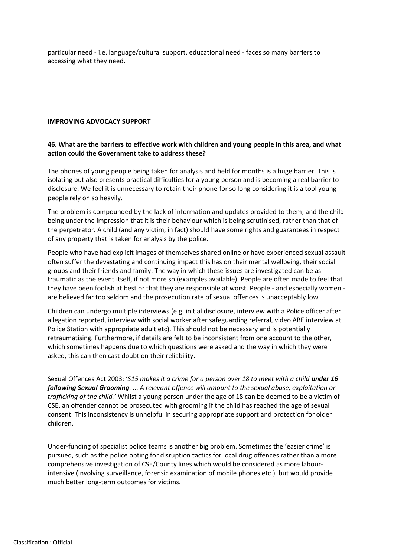particular need - i.e. language/cultural support, educational need - faces so many barriers to accessing what they need.

#### **IMPROVING ADVOCACY SUPPORT**

## **46. What are the barriers to effective work with children and young people in this area, and what action could the Government take to address these?**

The phones of young people being taken for analysis and held for months is a huge barrier. This is isolating but also presents practical difficulties for a young person and is becoming a real barrier to disclosure. We feel it is unnecessary to retain their phone for so long considering it is a tool young people rely on so heavily.

The problem is compounded by the lack of information and updates provided to them, and the child being under the impression that it is their behaviour which is being scrutinised, rather than that of the perpetrator. A child (and any victim, in fact) should have some rights and guarantees in respect of any property that is taken for analysis by the police.

People who have had explicit images of themselves shared online or have experienced sexual assault often suffer the devastating and continuing impact this has on their mental wellbeing, their social groups and their friends and family. The way in which these issues are investigated can be as traumatic as the event itself, if not more so (examples available). People are often made to feel that they have been foolish at best or that they are responsible at worst. People - and especially women are believed far too seldom and the prosecution rate of sexual offences is unacceptably low.

Children can undergo multiple interviews (e.g. initial disclosure, interview with a Police officer after allegation reported, interview with social worker after safeguarding referral, video ABE interview at Police Station with appropriate adult etc). This should not be necessary and is potentially retraumatising. Furthermore, if details are felt to be inconsistent from one account to the other, which sometimes happens due to which questions were asked and the way in which they were asked, this can then cast doubt on their reliability.

Sexual Offences Act 2003: '*S15 makes it a crime for a person over 18 to meet with a child under 16 following Sexual Grooming. ... A relevant offence will amount to the sexual abuse, exploitation or trafficking of the child.'* Whilst a young person under the age of 18 can be deemed to be a victim of CSE, an offender cannot be prosecuted with grooming if the child has reached the age of sexual consent. This inconsistency is unhelpful in securing appropriate support and protection for older children.

Under-funding of specialist police teams is another big problem. Sometimes the 'easier crime' is pursued, such as the police opting for disruption tactics for local drug offences rather than a more comprehensive investigation of CSE/County lines which would be considered as more labourintensive (involving surveillance, forensic examination of mobile phones etc.), but would provide much better long-term outcomes for victims.